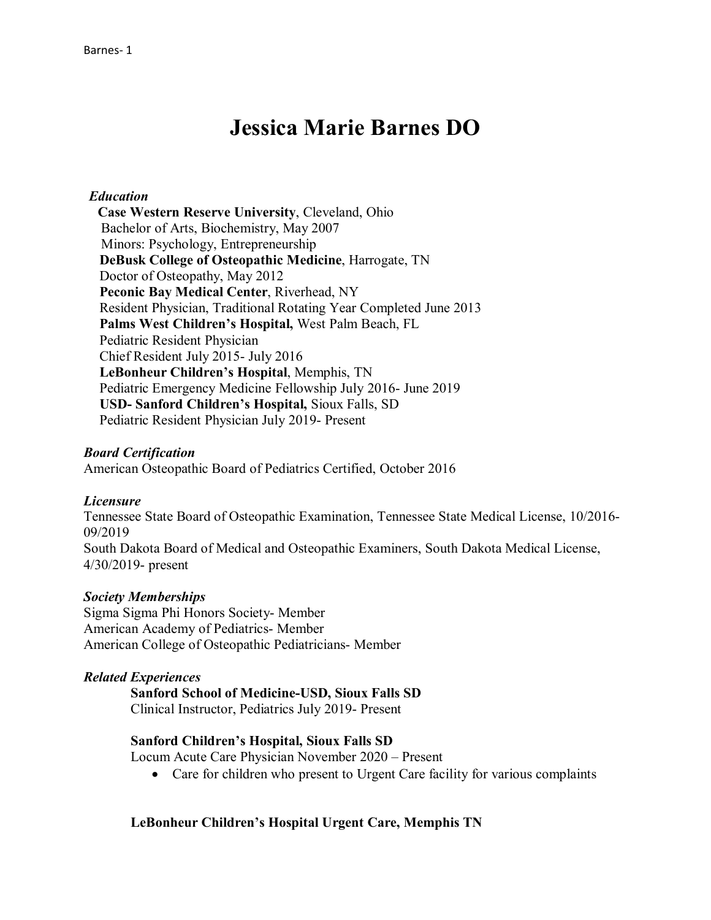# **Jessica Marie Barnes DO**

## *Education*

 **Case Western Reserve University**, Cleveland, Ohio Bachelor of Arts, Biochemistry, May 2007 Minors: Psychology, Entrepreneurship **DeBusk College of Osteopathic Medicine**, Harrogate, TN Doctor of Osteopathy, May 2012 **Peconic Bay Medical Center**, Riverhead, NY Resident Physician, Traditional Rotating Year Completed June 2013  **Palms West Children's Hospital,** West Palm Beach, FL Pediatric Resident Physician Chief Resident July 2015- July 2016 **LeBonheur Children's Hospital**, Memphis, TN Pediatric Emergency Medicine Fellowship July 2016- June 2019  **USD- Sanford Children's Hospital,** Sioux Falls, SD Pediatric Resident Physician July 2019- Present

#### *Board Certification*

American Osteopathic Board of Pediatrics Certified, October 2016

#### *Licensure*

Tennessee State Board of Osteopathic Examination, Tennessee State Medical License, 10/2016- 09/2019 South Dakota Board of Medical and Osteopathic Examiners, South Dakota Medical License, 4/30/2019- present

#### *Society Memberships*

Sigma Sigma Phi Honors Society- Member American Academy of Pediatrics- Member American College of Osteopathic Pediatricians- Member

#### *Related Experiences*

**Sanford School of Medicine-USD, Sioux Falls SD**

Clinical Instructor, Pediatrics July 2019- Present

#### **Sanford Children's Hospital, Sioux Falls SD**

Locum Acute Care Physician November 2020 – Present

• Care for children who present to Urgent Care facility for various complaints

#### **LeBonheur Children's Hospital Urgent Care, Memphis TN**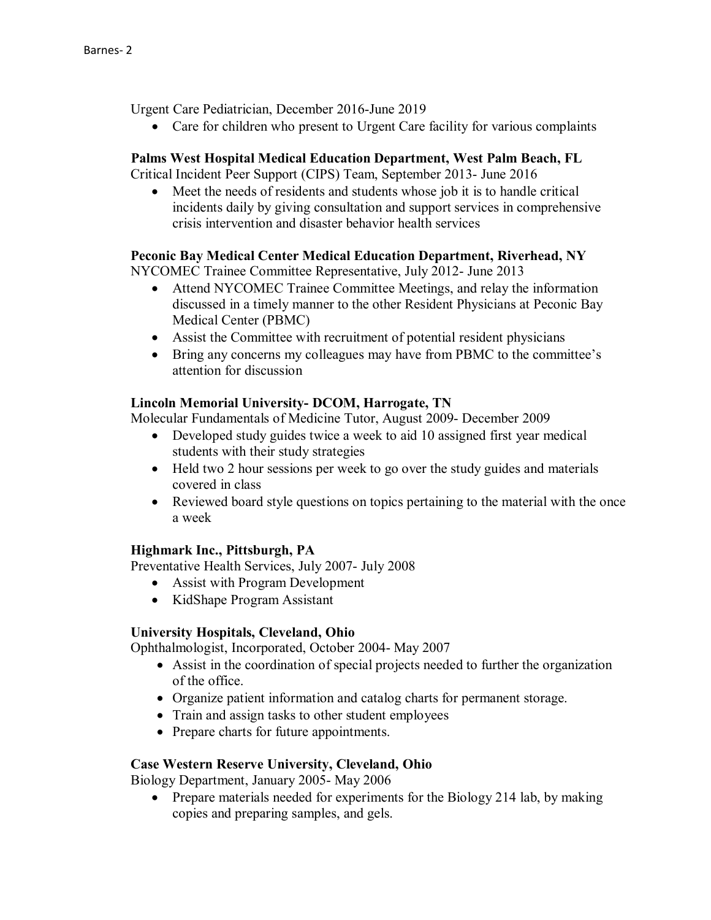Urgent Care Pediatrician, December 2016-June 2019

• Care for children who present to Urgent Care facility for various complaints

## **Palms West Hospital Medical Education Department, West Palm Beach, FL**

Critical Incident Peer Support (CIPS) Team, September 2013- June 2016

• Meet the needs of residents and students whose job it is to handle critical incidents daily by giving consultation and support services in comprehensive crisis intervention and disaster behavior health services

## **Peconic Bay Medical Center Medical Education Department, Riverhead, NY**

NYCOMEC Trainee Committee Representative, July 2012- June 2013

- Attend NYCOMEC Trainee Committee Meetings, and relay the information discussed in a timely manner to the other Resident Physicians at Peconic Bay Medical Center (PBMC)
- Assist the Committee with recruitment of potential resident physicians
- Bring any concerns my colleagues may have from PBMC to the committee's attention for discussion

#### **Lincoln Memorial University- DCOM, Harrogate, TN**

Molecular Fundamentals of Medicine Tutor, August 2009- December 2009

- Developed study guides twice a week to aid 10 assigned first year medical students with their study strategies
- Held two 2 hour sessions per week to go over the study guides and materials covered in class
- Reviewed board style questions on topics pertaining to the material with the once a week

# **Highmark Inc., Pittsburgh, PA**

Preventative Health Services, July 2007- July 2008

- Assist with Program Development
- KidShape Program Assistant

#### **University Hospitals, Cleveland, Ohio**

Ophthalmologist, Incorporated, October 2004- May 2007

- Assist in the coordination of special projects needed to further the organization of the office.
- Organize patient information and catalog charts for permanent storage.
- Train and assign tasks to other student employees
- Prepare charts for future appointments.

# **Case Western Reserve University, Cleveland, Ohio**

Biology Department, January 2005- May 2006

• Prepare materials needed for experiments for the Biology 214 lab, by making copies and preparing samples, and gels.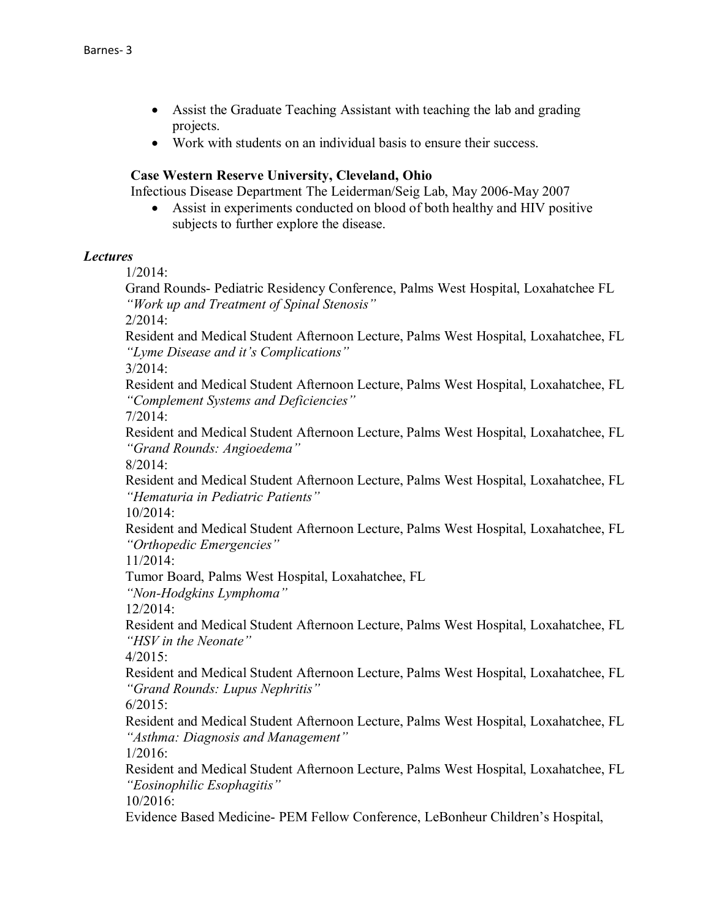- Assist the Graduate Teaching Assistant with teaching the lab and grading projects.
- Work with students on an individual basis to ensure their success.

## **Case Western Reserve University, Cleveland, Ohio**

Infectious Disease Department The Leiderman/Seig Lab, May 2006-May 2007

• Assist in experiments conducted on blood of both healthy and HIV positive subjects to further explore the disease.

## *Lectures*

1/2014:

Grand Rounds- Pediatric Residency Conference, Palms West Hospital, Loxahatchee FL *"Work up and Treatment of Spinal Stenosis"*

2/2014:

Resident and Medical Student Afternoon Lecture, Palms West Hospital, Loxahatchee, FL *"Lyme Disease and it's Complications"*

3/2014:

Resident and Medical Student Afternoon Lecture, Palms West Hospital, Loxahatchee, FL *"Complement Systems and Deficiencies"*

7/2014:

Resident and Medical Student Afternoon Lecture, Palms West Hospital, Loxahatchee, FL *"Grand Rounds: Angioedema"*

8/2014:

Resident and Medical Student Afternoon Lecture, Palms West Hospital, Loxahatchee, FL *"Hematuria in Pediatric Patients"*

10/2014:

Resident and Medical Student Afternoon Lecture, Palms West Hospital, Loxahatchee, FL *"Orthopedic Emergencies"*

11/2014:

Tumor Board, Palms West Hospital, Loxahatchee, FL

*"Non-Hodgkins Lymphoma"*

12/2014:

Resident and Medical Student Afternoon Lecture, Palms West Hospital, Loxahatchee, FL *"HSV in the Neonate"*

 $4/2015$ :

Resident and Medical Student Afternoon Lecture, Palms West Hospital, Loxahatchee, FL *"Grand Rounds: Lupus Nephritis"*

6/2015:

Resident and Medical Student Afternoon Lecture, Palms West Hospital, Loxahatchee, FL *"Asthma: Diagnosis and Management"*

1/2016:

Resident and Medical Student Afternoon Lecture, Palms West Hospital, Loxahatchee, FL *"Eosinophilic Esophagitis"*

10/2016:

Evidence Based Medicine- PEM Fellow Conference, LeBonheur Children's Hospital,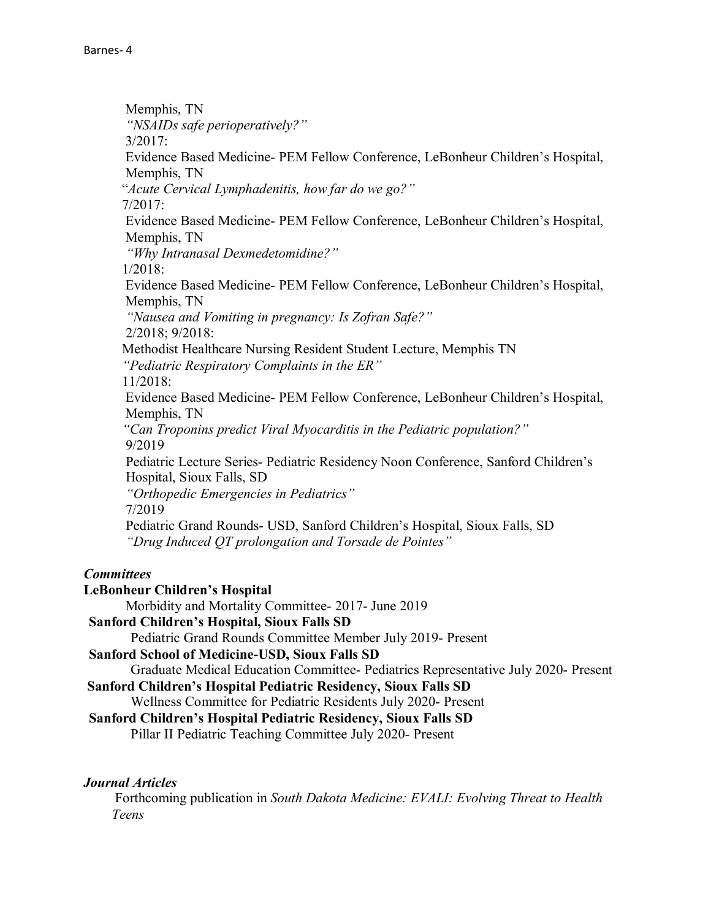Memphis, TN *"NSAIDs safe perioperatively?"* 3/2017: Evidence Based Medicine- PEM Fellow Conference, LeBonheur Children's Hospital, Memphis, TN "*Acute Cervical Lymphadenitis, how far do we go?"* 7/2017: Evidence Based Medicine- PEM Fellow Conference, LeBonheur Children's Hospital, Memphis, TN  *"Why Intranasal Dexmedetomidine?"* 1/2018: Evidence Based Medicine- PEM Fellow Conference, LeBonheur Children's Hospital, Memphis, TN  *"Nausea and Vomiting in pregnancy: Is Zofran Safe?"* 2/2018; 9/2018: Methodist Healthcare Nursing Resident Student Lecture, Memphis TN  *"Pediatric Respiratory Complaints in the ER"* 11/2018: Evidence Based Medicine- PEM Fellow Conference, LeBonheur Children's Hospital, Memphis, TN *"Can Troponins predict Viral Myocarditis in the Pediatric population?"* 9/2019 Pediatric Lecture Series- Pediatric Residency Noon Conference, Sanford Children's Hospital, Sioux Falls, SD *"Orthopedic Emergencies in Pediatrics"* 7/2019 Pediatric Grand Rounds- USD, Sanford Children's Hospital, Sioux Falls, SD *"Drug Induced QT prolongation and Torsade de Pointes" Committees* **LeBonheur Children's Hospital** Morbidity and Mortality Committee- 2017- June 2019 **Sanford Children's Hospital, Sioux Falls SD** Pediatric Grand Rounds Committee Member July 2019- Present **Sanford School of Medicine-USD, Sioux Falls SD** Graduate Medical Education Committee- Pediatrics Representative July 2020- Present **Sanford Children's Hospital Pediatric Residency, Sioux Falls SD** Wellness Committee for Pediatric Residents July 2020- Present **Sanford Children's Hospital Pediatric Residency, Sioux Falls SD**

Pillar II Pediatric Teaching Committee July 2020- Present

# *Journal Articles*

 Forthcoming publication in *South Dakota Medicine: EVALI: Evolving Threat to Health Teens*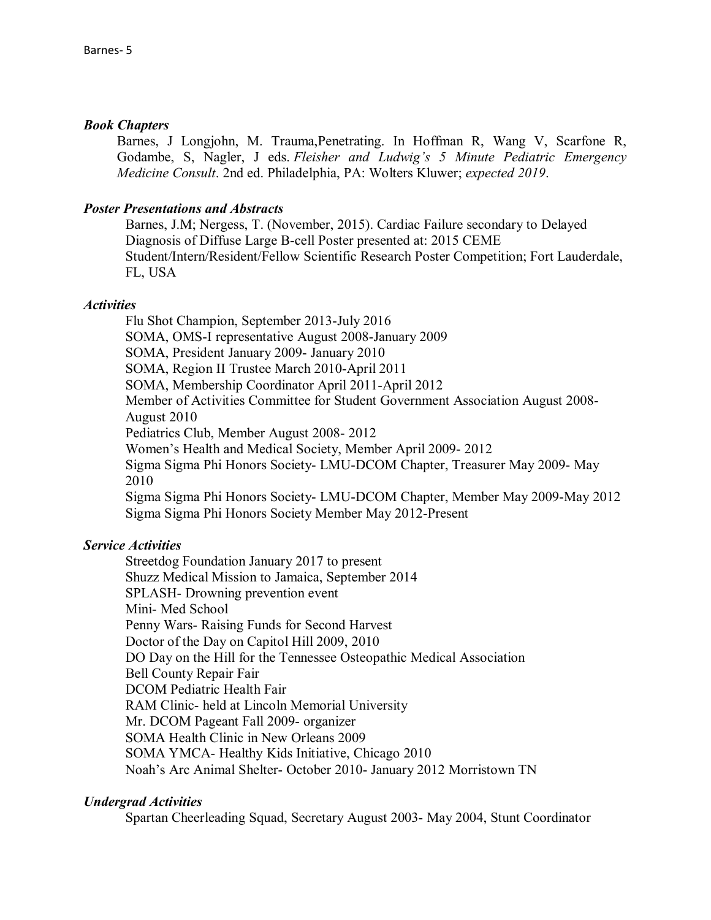#### *Book Chapters*

Barnes, J Longjohn, M. Trauma,Penetrating. In Hoffman R, Wang V, Scarfone R, Godambe, S, Nagler, J eds. *Fleisher and Ludwig's 5 Minute Pediatric Emergency Medicine Consult*. 2nd ed. Philadelphia, PA: Wolters Kluwer; *expected 2019*.

## *Poster Presentations and Abstracts*

Barnes, J.M; Nergess, T. (November, 2015). Cardiac Failure secondary to Delayed Diagnosis of Diffuse Large B-cell Poster presented at: 2015 CEME Student/Intern/Resident/Fellow Scientific Research Poster Competition; Fort Lauderdale, FL, USA

## *Activities*

Flu Shot Champion, September 2013-July 2016 SOMA, OMS-I representative August 2008-January 2009 SOMA, President January 2009- January 2010 SOMA, Region II Trustee March 2010-April 2011 SOMA, Membership Coordinator April 2011-April 2012 Member of Activities Committee for Student Government Association August 2008- August 2010 Pediatrics Club, Member August 2008- 2012 Women's Health and Medical Society, Member April 2009- 2012 Sigma Sigma Phi Honors Society- LMU-DCOM Chapter, Treasurer May 2009- May 2010 Sigma Sigma Phi Honors Society- LMU-DCOM Chapter, Member May 2009-May 2012 Sigma Sigma Phi Honors Society Member May 2012-Present

# *Service Activities*

Streetdog Foundation January 2017 to present Shuzz Medical Mission to Jamaica, September 2014 SPLASH- Drowning prevention event Mini- Med School Penny Wars- Raising Funds for Second Harvest Doctor of the Day on Capitol Hill 2009, 2010 DO Day on the Hill for the Tennessee Osteopathic Medical Association Bell County Repair Fair DCOM Pediatric Health Fair RAM Clinic- held at Lincoln Memorial University Mr. DCOM Pageant Fall 2009- organizer SOMA Health Clinic in New Orleans 2009 SOMA YMCA- Healthy Kids Initiative, Chicago 2010 Noah's Arc Animal Shelter- October 2010- January 2012 Morristown TN

# *Undergrad Activities*

Spartan Cheerleading Squad, Secretary August 2003- May 2004, Stunt Coordinator